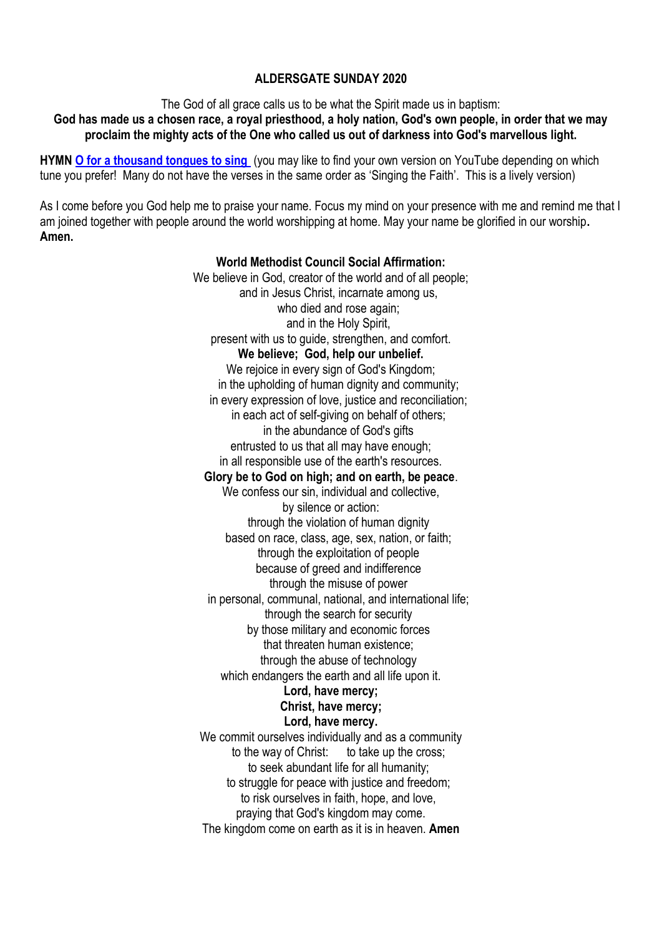### **ALDERSGATE SUNDAY 2020**

The God of all grace calls us to be what the Spirit made us in baptism:

**God has made us a chosen race, a royal priesthood, a holy nation, God's own people, in order that we may proclaim the mighty acts of the One who called us out of darkness into God's marvellous light.**

**HYMN [O for a thousand tongues to sing](https://www.youtube.com/watch?v=X-dEfvz6Vms)** (you may like to find your own version on YouTube depending on which tune you prefer! Many do not have the verses in the same order as 'Singing the Faith'. This is a lively version)

As I come before you God help me to praise your name. Focus my mind on your presence with me and remind me that I am joined together with people around the world worshipping at home. May your name be glorified in our worship**. Amen.**

### **World Methodist Council Social Affirmation:** We believe in God, creator of the world and of all people: and in Jesus Christ, incarnate among us, who died and rose again: and in the Holy Spirit, present with us to guide, strengthen, and comfort. **We believe; God, help our unbelief.** We rejoice in every sign of God's Kingdom; in the upholding of human dignity and community; in every expression of love, justice and reconciliation; in each act of self-giving on behalf of others; in the abundance of God's gifts entrusted to us that all may have enough; in all responsible use of the earth's resources. **Glory be to God on high; and on earth, be peace**. We confess our sin, individual and collective, by silence or action: through the violation of human dignity based on race, class, age, sex, nation, or faith; through the exploitation of people because of greed and indifference through the misuse of power in personal, communal, national, and international life; through the search for security by those military and economic forces that threaten human existence; through the abuse of technology which endangers the earth and all life upon it. **Lord, have mercy; Christ, have mercy;**

**Lord, have mercy.** We commit ourselves individually and as a community to the way of Christ: to take up the cross: to seek abundant life for all humanity; to struggle for peace with justice and freedom; to risk ourselves in faith, hope, and love, praying that God's kingdom may come. The kingdom come on earth as it is in heaven. **Amen**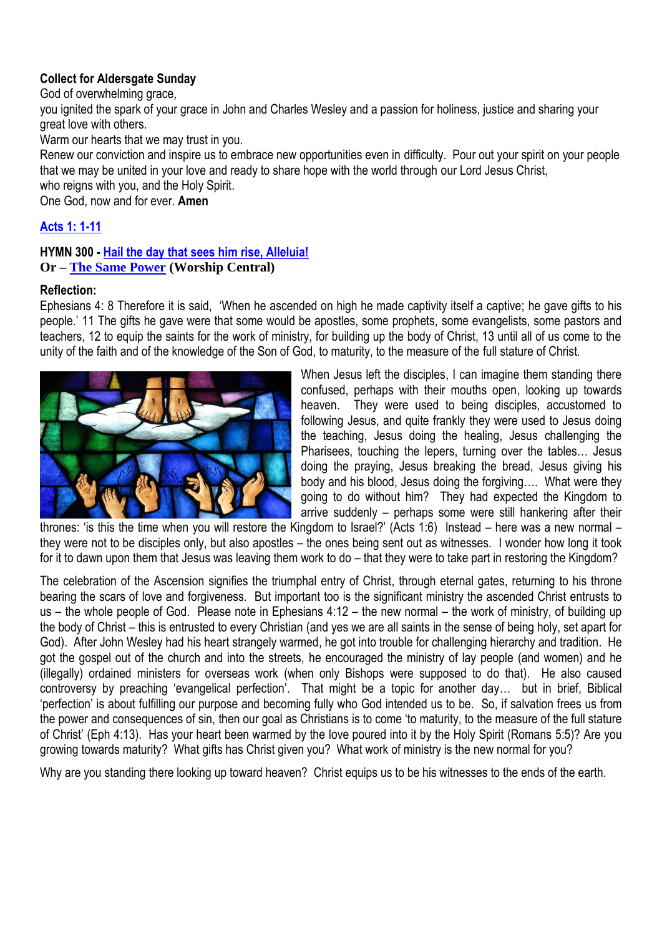# **Collect for Aldersgate Sunday**

God of overwhelming grace,

you ignited the spark of your grace in John and Charles Wesley and a passion for holiness, justice and sharing your great love with others.

Warm our hearts that we may trust in you.

Renew our conviction and inspire us to embrace new opportunities even in difficulty. Pour out your spirit on your people that we may be united in your love and ready to share hope with the world through our Lord Jesus Christ,

who reigns with you, and the Holy Spirit.

One God, now and for ever. **Amen**

## **[Acts 1: 1-11](https://www.biblegateway.com/passage/?search=Acts+1%3A+1-11&version=NIV)**

#### **HYMN 300 - [Hail the day that sees him rise, Alleluia!](https://www.youtube.com/watch?v=7b_ODz_jgTs) Or – [The Same Power](https://www.youtube.com/watch?v=M0AhLUTp368) (Worship Central)**

#### **Reflection:**

Ephesians 4: 8 Therefore it is said, 'When he ascended on high he made captivity itself a captive; he gave gifts to his people.' 11 The gifts he gave were that some would be apostles, some prophets, some evangelists, some pastors and teachers, 12 to equip the saints for the work of ministry, for building up the body of Christ, 13 until all of us come to the unity of the faith and of the knowledge of the Son of God, to maturity, to the measure of the full stature of Christ.



When Jesus left the disciples, I can imagine them standing there confused, perhaps with their mouths open, looking up towards heaven. They were used to being disciples, accustomed to following Jesus, and quite frankly they were used to Jesus doing the teaching, Jesus doing the healing, Jesus challenging the Pharisees, touching the lepers, turning over the tables… Jesus doing the praying, Jesus breaking the bread, Jesus giving his body and his blood, Jesus doing the forgiving…. What were they going to do without him? They had expected the Kingdom to arrive suddenly – perhaps some were still hankering after their

thrones: 'is this the time when you will restore the Kingdom to Israel?' (Acts 1:6) Instead – here was a new normal – they were not to be disciples only, but also apostles – the ones being sent out as witnesses. I wonder how long it took for it to dawn upon them that Jesus was leaving them work to do – that they were to take part in restoring the Kingdom?

The celebration of the Ascension signifies the triumphal entry of Christ, through eternal gates, returning to his throne bearing the scars of love and forgiveness. But important too is the significant ministry the ascended Christ entrusts to us – the whole people of God. Please note in Ephesians 4:12 – the new normal – the work of ministry, of building up the body of Christ – this is entrusted to every Christian (and yes we are all saints in the sense of being holy, set apart for God). After John Wesley had his heart strangely warmed, he got into trouble for challenging hierarchy and tradition. He got the gospel out of the church and into the streets, he encouraged the ministry of lay people (and women) and he (illegally) ordained ministers for overseas work (when only Bishops were supposed to do that). He also caused controversy by preaching 'evangelical perfection'. That might be a topic for another day... but in brief. Biblical 'perfection' is about fulfilling our purpose and becoming fully who God intended us to be. So, if salvation frees us from the power and consequences of sin, then our goal as Christians is to come 'to maturity, to the measure of the full stature of Christ' (Eph 4:13). Has your heart been warmed by the love poured into it by the Holy Spirit (Romans 5:5)? Are you growing towards maturity? What gifts has Christ given you? What work of ministry is the new normal for you?

Why are you standing there looking up toward heaven? Christ equips us to be his witnesses to the ends of the earth.